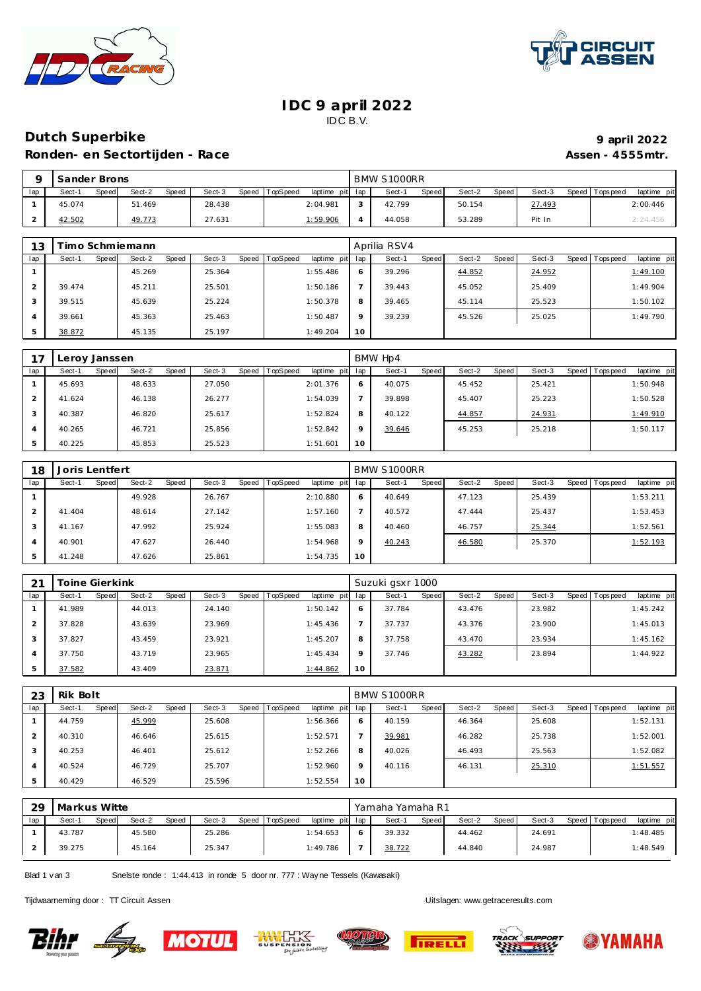

 $\mathsf{r}$ 



#### **IDC 9 april 2022** IDC B.V.

# **Dutch Superbike 9 april 2022 Ronden- en Sectortijden - Race Assen - 4555mtr. Assen - 4555mtr.**

| 9 april 20    |  |
|---------------|--|
| Assen - 4555m |  |

|     | Sander Brons    |        |                           |                             | BMW S1000RR     |                 |                   |                          |
|-----|-----------------|--------|---------------------------|-----------------------------|-----------------|-----------------|-------------------|--------------------------|
| lap | Speed<br>Sect-1 | Sect-2 | Sect-3<br>Speed.<br>Speed | TopSpeed<br>laptime pit lap | Sect-1<br>Speed | Speed<br>Sect-2 | Speed T<br>Sect-3 | Tops peed<br>laptime pit |
|     | 45.074          | 51.469 | 28.438                    | 2:04.981                    | 42.799          | 50.154          | 27.493            | 2:00.446                 |
|     | 42.502          | 49.773 | 27.631                    | <u>1:59.906</u>             | 44.058          | 53.289          | Pit In            | 2:24.456                 |

| 13  | imo Schmiemann  |                 |        |                               |         | Aprilia RSV4    |                 |        |                                |
|-----|-----------------|-----------------|--------|-------------------------------|---------|-----------------|-----------------|--------|--------------------------------|
| lap | Sect-1<br>Speed | Sect-2<br>Speed | Sect-3 | Speed TopSpeed<br>laptime pit | lap     | Speed<br>Sect-1 | Speed<br>Sect-2 | Sect-3 | laptime pit<br>Speed Tops peed |
|     |                 | 45.269          | 25.364 | 1:55.486                      | 6       | 39.296          | 44.852          | 24.952 | 1:49.100                       |
|     | 39.474          | 45.211          | 25.501 | 1:50.186                      |         | 39.443          | 45.052          | 25.409 | 1:49.904                       |
|     | 39.515          | 45.639          | 25.224 | 1:50.378                      | 8       | 39.465          | 45.114          | 25.523 | 1:50.102                       |
| 4   | 39.661          | 45.363          | 25.463 | 1:50.487                      | $\circ$ | 39.239          | 45.526          | 25.025 | 1:49.790                       |
| 5   | 38.872          | 45.135          | 25.197 | 1:49.204                      | 10      |                 |                 |        |                                |

| 17             | Leroy Janssen |       |        |       |        |       |                 |             |         | BMW Hp4 |       |        |       |        |                |             |
|----------------|---------------|-------|--------|-------|--------|-------|-----------------|-------------|---------|---------|-------|--------|-------|--------|----------------|-------------|
| lap            | Sect-1        | Speed | Sect-2 | Speed | Sect-3 | Speed | <b>TopSpeed</b> | laptime pit | lap     | Sect-1  | Speed | Sect-2 | Speed | Sect-3 | Speed Topspeed | laptime pit |
|                | 45.693        |       | 48.633 |       | 27.050 |       |                 | 2:01.376    | 6       | 40.075  |       | 45.452 |       | 25.421 |                | 1:50.948    |
| 2              | 41.624        |       | 46.138 |       | 26.277 |       |                 | 1:54.039    |         | 39.898  |       | 45.407 |       | 25.223 |                | 1:50.528    |
| 3              | 40.387        |       | 46.820 |       | 25.617 |       |                 | 1:52.824    | 8       | 40.122  |       | 44.857 |       | 24.931 |                | 1:49.910    |
| $\overline{A}$ | 40.265        |       | 46.721 |       | 25.856 |       |                 | 1:52.842    | $\circ$ | 39.646  |       | 45.253 |       | 25.218 |                | 1:50.117    |
|                | 40.225        |       | 45.853 |       | 25.523 |       |                 | 1:51.601    | 10      |         |       |        |       |        |                |             |

| 18             | Joris Lentfert |       |        |       |        |       |          |                 |         | BMW S1000RR |       |        |       |        |                |             |
|----------------|----------------|-------|--------|-------|--------|-------|----------|-----------------|---------|-------------|-------|--------|-------|--------|----------------|-------------|
| lap            | Sect-1         | Speed | Sect-2 | Speed | Sect-3 | Speed | TopSpeed | laptime pit lap |         | Sect-1      | Speed | Sect-2 | Speed | Sect-3 | Speed Topspeed | laptime pit |
|                |                |       | 49.928 |       | 26.767 |       |          | 2:10.880        | 6       | 40.649      |       | 47.123 |       | 25.439 |                | 1:53.211    |
| $\overline{2}$ | 41.404         |       | 48.614 |       | 27.142 |       |          | 1:57.160        |         | 40.572      |       | 47.444 |       | 25.437 |                | 1:53.453    |
| 3              | 41.167         |       | 47.992 |       | 25.924 |       |          | 1:55.083        | 8       | 40.460      |       | 46.757 |       | 25.344 |                | 1:52.561    |
| $\overline{A}$ | 40.901         |       | 47.627 |       | 26.440 |       |          | 1:54.968        | $\circ$ | 40.243      |       | 46.580 |       | 25.370 |                | 1:52.193    |
| 5              | 41.248         |       | 47.626 |       | 25.861 |       |          | 1:54.735        | 10      |             |       |        |       |        |                |             |

| 21  | Toine Gierkink  |                 |                     |                             |         | Suzuki gsxr 1000 |                 |        |                               |
|-----|-----------------|-----------------|---------------------|-----------------------------|---------|------------------|-----------------|--------|-------------------------------|
| lap | Sect-1<br>Speed | Sect-2<br>Speed | Speed   T<br>Sect-3 | TopSpeed<br>laptime pit lap |         | Speed<br>Sect-1  | Sect-2<br>Speed | Sect-3 | Speed Topspeed<br>laptime pit |
|     | 41.989          | 44.013          | 24.140              | 1:50.142                    | 6       | 37.784           | 43.476          | 23.982 | 1:45.242                      |
|     | 37.828          | 43.639          | 23.969              | 1:45.436                    |         | 37.737           | 43.376          | 23.900 | 1:45.013                      |
|     | 37.827          | 43.459          | 23.921              | 1:45.207                    | 8       | 37.758           | 43.470          | 23.934 | 1:45.162                      |
|     | 37.750          | 43.719          | 23.965              | 1:45.434                    | $\circ$ | 37.746           | 43.282          | 23.894 | 1:44.922                      |
|     | 37.582          | 43.409          | 23.871              | 1:44.862                    | 10      |                  |                 |        |                               |

| 23  | Rik Bolt |       |        |       |        |       |          |             |         | BMW S1000RR |       |        |       |        |                |             |
|-----|----------|-------|--------|-------|--------|-------|----------|-------------|---------|-------------|-------|--------|-------|--------|----------------|-------------|
| lap | Sect-1   | Speed | Sect-2 | Speed | Sect-3 | Speed | TopSpeed | laptime pit | lap     | Sect-1      | Speed | Sect-2 | Speed | Sect-3 | Speed Topspeed | laptime pit |
|     | 44.759   |       | 45.999 |       | 25.608 |       |          | 1:56.366    | 6       | 40.159      |       | 46.364 |       | 25.608 |                | 1:52.131    |
|     | 40.310   |       | 46.646 |       | 25.615 |       |          | 1:52.571    |         | 39.981      |       | 46.282 |       | 25.738 |                | 1:52.001    |
|     | 40.253   |       | 46.401 |       | 25.612 |       |          | 1:52.266    | 8       | 40.026      |       | 46.493 |       | 25.563 |                | 1:52.082    |
| 4   | 40.524   |       | 46.729 |       | 25.707 |       |          | 1:52.960    | $\circ$ | 40.116      |       | 46.131 |       | 25.310 |                | 1:51.557    |
| 5   | 40.429   |       | 46.529 |       | 25.596 |       |          | 1:52.554    | 10      |             |       |        |       |        |                |             |

| 29  | Markus Witte |       |        |       |        |       |                 |                 | Yamaha Yamaha R1 |              |        |       |        |                 |             |
|-----|--------------|-------|--------|-------|--------|-------|-----------------|-----------------|------------------|--------------|--------|-------|--------|-----------------|-------------|
| lap | Sect-1       | Speed | Sect-2 | Speed | Sect-3 | Speed | <b>TopSpeed</b> | laptime pit lap | Sect-1           | <b>Speed</b> | Sect-2 | Speed | Sect-3 | Speed Tops peed | laptime pit |
|     | 43.787       |       | 45.580 |       | 25.286 |       |                 | 1:54.653        | 39.332           |              | 44.462 |       | 24.691 |                 | 1:48.485    |
|     | 39.275       |       | 45.164 |       | 25.347 |       |                 | 1:49.786        | 38.722           |              | 44.840 |       | 24.987 |                 | 1:48.549    |

Blad 1 v an 3 Snelste ronde : 1:44.413 in ronde 5 door nr. 777 : Way ne Tessels (Kawasaki)

Tijdwaarneming door : TT Circuit Assen Uitslagen:<www.getraceresults.com>











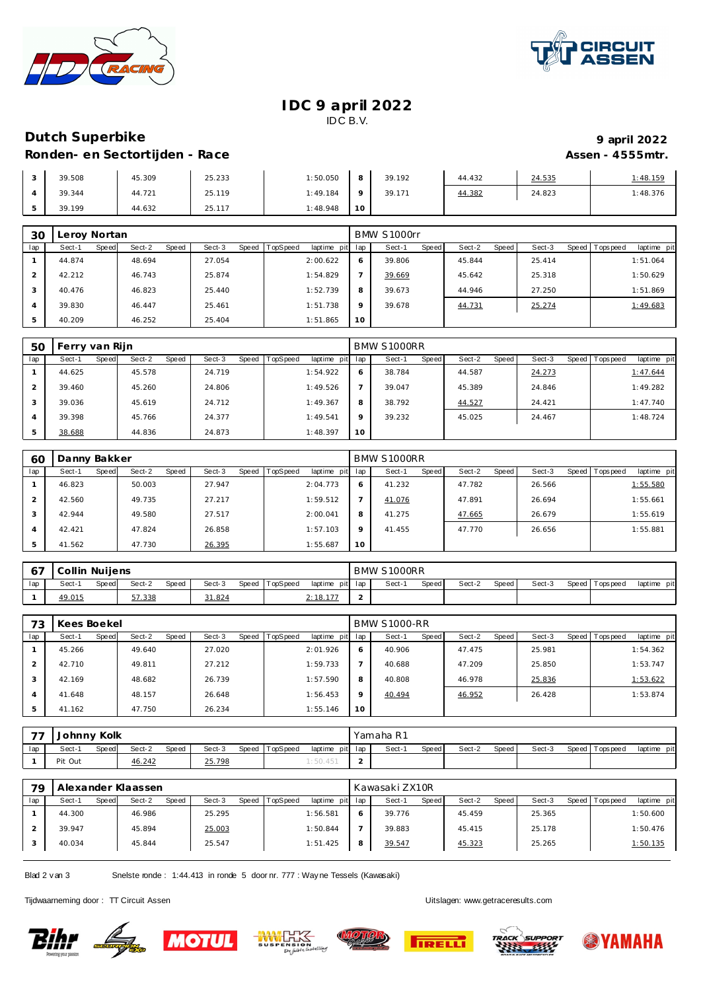



#### **IDC 9 april 2022** IDC B.V.

# **Dutch Superbike 9 april 2022 Ronden- en Sectortijden - Race Assen - 4555mtr. Assen - 4555mtr.**

| 39.508 | 45.309 | 25.233 | 1:50.050 |             | 39.192 | 44.432 | 24.535 | 1:48.159 |
|--------|--------|--------|----------|-------------|--------|--------|--------|----------|
| 39.344 | 44.721 | 25.119 | 1:49.184 |             | 39.171 | 44.382 | 24.823 | 1:48.376 |
| 39.199 | 44.632 | 25.117 | 1:48.948 | $\sim$<br>◡ |        |        |        |          |

| 30  | Leroy Nortan |                 |                 |        |          |                 |         | BMW S1000rr |       |        |       |        |                |             |
|-----|--------------|-----------------|-----------------|--------|----------|-----------------|---------|-------------|-------|--------|-------|--------|----------------|-------------|
| lap | Sect-1       | Sect-2<br>Speed | Sect-3<br>Speed | Speed  | TopSpeed | laptime pit lap |         | Sect-1      | Speed | Sect-2 | Speed | Sect-3 | Speed Topspeed | laptime pit |
|     | 44.874       | 48.694          |                 | 27.054 |          | 2:00.622        | O       | 39.806      |       | 45.844 |       | 25.414 |                | 1:51.064    |
|     | 42.212       | 46.743          |                 | 25.874 |          | 1:54.829        |         | 39.669      |       | 45.642 |       | 25.318 |                | 1:50.629    |
| 3   | 40.476       | 46.823          |                 | 25.440 |          | 1:52.739        | 8       | 39.673      |       | 44.946 |       | 27.250 |                | 1:51.869    |
| 4   | 39.830       | 46.447          |                 | 25.461 |          | 1:51.738        | $\circ$ | 39.678      |       | 44.731 |       | 25.274 |                | 1:49.683    |
| 5   | 40.209       | 46.252          |                 | 25.404 |          | 1:51.865        | 10      |             |       |        |       |        |                |             |

| 50  | Ferry van Rijn |       |        |       |        |       |          |             |         | BMW S1000RR |       |        |       |        |         |           |             |
|-----|----------------|-------|--------|-------|--------|-------|----------|-------------|---------|-------------|-------|--------|-------|--------|---------|-----------|-------------|
| lap | Sect-1         | Speed | Sect-2 | Speed | Sect-3 | Speed | TopSpeed | laptime pit | lap     | Sect-1      | Speed | Sect-2 | Speed | Sect-3 | Speed I | Tops peed | laptime pit |
|     | 44.625         |       | 45.578 |       | 24.719 |       |          | 1:54.922    | 6       | 38.784      |       | 44.587 |       | 24.273 |         |           | 1:47.644    |
|     | 39.460         |       | 45.260 |       | 24.806 |       |          | 1:49.526    |         | 39.047      |       | 45.389 |       | 24.846 |         |           | 1:49.282    |
|     | 39.036         |       | 45.619 |       | 24.712 |       |          | 1:49.367    | 8       | 38.792      |       | 44.527 |       | 24.421 |         |           | 1:47.740    |
|     | 39.398         |       | 45.766 |       | 24.377 |       |          | 1:49.541    | $\circ$ | 39.232      |       | 45.025 |       | 24.467 |         |           | 1:48.724    |
|     | 38.688         |       | 44.836 |       | 24.873 |       |          | 1:48.397    | 10      |             |       |        |       |        |         |           |             |

| 60  | Danny Bakker |       |        |       |        |       |                 |             |         | BMW S1000RR |       |        |       |        |                  |             |
|-----|--------------|-------|--------|-------|--------|-------|-----------------|-------------|---------|-------------|-------|--------|-------|--------|------------------|-------------|
| lap | Sect-1       | Speed | Sect-2 | Speed | Sect-3 | Speed | <b>TopSpeed</b> | laptime pit | lap     | Sect-1      | Speed | Sect-2 | Speed | Sect-3 | Speed   Topspeed | laptime pit |
|     | 46.823       |       | 50.003 |       | 27.947 |       |                 | 2:04.773    | O       | 41.232      |       | 47.782 |       | 26.566 |                  | 1:55.580    |
|     | 42.560       |       | 49.735 |       | 27.217 |       |                 | 1:59.512    |         | 41.076      |       | 47.891 |       | 26.694 |                  | 1:55.661    |
|     | 42.944       |       | 49.580 |       | 27.517 |       |                 | 2:00.041    | 8       | 41.275      |       | 47.665 |       | 26.679 |                  | 1:55.619    |
|     | 42.421       |       | 47.824 |       | 26.858 |       |                 | 1:57.103    | $\circ$ | 41.455      |       | 47.770 |       | 26.656 |                  | 1:55.881    |
|     | 41.562       |       | 47.730 |       | 26.395 |       |                 | 1:55.687    | 10      |             |       |        |       |        |                  |             |

|     | Collin Nuilens |       |        |       |        |       |          |                 | BMW S1000RR |       |        |       |        |                   |             |
|-----|----------------|-------|--------|-------|--------|-------|----------|-----------------|-------------|-------|--------|-------|--------|-------------------|-------------|
| lap | Sect-1         | Speed | Sect-2 | Speed | Sect-3 | Speed | TopSpeed | laptime pit lap | Sect-       | Speed | Sect-2 | Speed | Sect-3 | Speed   Tops peed | laptime pit |
|     | 49.015         |       | 57.338 |       | 31.824 |       |          | 2:18.17         |             |       |        |       |        |                   |             |

| 73  | Kees Boekel |       |        |       |        |       |                 |             |         | <b>BMW S1000-RR</b> |       |        |         |        |                   |             |
|-----|-------------|-------|--------|-------|--------|-------|-----------------|-------------|---------|---------------------|-------|--------|---------|--------|-------------------|-------------|
| lap | Sect-1      | Speed | Sect-2 | Speed | Sect-3 | Speed | <b>TopSpeed</b> | laptime pit | lap     | Sect-1              | Speed | Sect-2 | Speed ' | Sect-3 | Speed   Tops peed | laptime pit |
|     | 45.266      |       | 49.640 |       | 27.020 |       |                 | 2:01.926    | 6       | 40.906              |       | 47.475 |         | 25.981 |                   | 1:54.362    |
|     | 42.710      |       | 49.811 |       | 27.212 |       |                 | 1:59.733    |         | 40.688              |       | 47.209 |         | 25.850 |                   | 1:53.747    |
| 3   | 42.169      |       | 48.682 |       | 26.739 |       |                 | 1:57.590    | 8       | 40.808              |       | 46.978 |         | 25.836 |                   | 1:53.622    |
|     | 41.648      |       | 48.157 |       | 26.648 |       |                 | 1:56.453    | $\circ$ | 40.494              |       | 46.952 |         | 26.428 |                   | 1:53.874    |
| 5   | 41.162      |       | 47.750 |       | 26.234 |       |                 | 1:55.146    | 10      |                     |       |        |         |        |                   |             |

| $\overline{\phantom{a}}$ | Johnny Kolk |       |        |       |        |                |                 | Yamaha R1 |       |        |       |        |                   |             |
|--------------------------|-------------|-------|--------|-------|--------|----------------|-----------------|-----------|-------|--------|-------|--------|-------------------|-------------|
| lap                      | Sect-'      | Speed | Sect-2 | Speed | Sect-3 | Speed TopSpeed | laptime pit lap | Sect-1    | Speed | Sect-2 | Speed | Sect-3 | Speed   Tops peed | laptime pit |
|                          | Pit Out     |       | 46.242 |       | 25.798 |                | 1:50.451        |           |       |        |       |        |                   |             |

| 79  | Alexander Klaassen |       |        |       |        |       |                 |                 | Kawasaki ZX10R |       |        |       |        |       |            |             |
|-----|--------------------|-------|--------|-------|--------|-------|-----------------|-----------------|----------------|-------|--------|-------|--------|-------|------------|-------------|
| lap | Sect-1             | Speed | Sect-2 | Speed | Sect-3 | Speed | <b>TopSpeed</b> | laptime pit lap | Sect-1         | Speed | Sect-2 | Speed | Sect-3 | Speed | Tops pee d | laptime pit |
|     | 44.300             |       | 46.986 |       | 25.295 |       |                 | 1:56.581        | 39.776         |       | 45.459 |       | 25.365 |       |            | 1:50.600    |
|     | 39.947             |       | 45.894 |       | 25.003 |       |                 | 1:50.844        | 39.883         |       | 45.415 |       | 25.178 |       |            | 1:50.476    |
|     | 40.034             |       | 45.844 |       | 25.547 |       |                 | 1:51.425        | 39.547         |       | 45.323 |       | 25.265 |       |            | 1:50.135    |

Blad 2 v an 3 Snelste ronde : 1:44.413 in ronde 5 door nr. 777 : Way ne Tessels (Kawasaki)

Tijdwaarneming door : TT Circuit Assen enter the state of the state of the Uitslagen:<www.getraceresults.com>

**Bihr Lage**